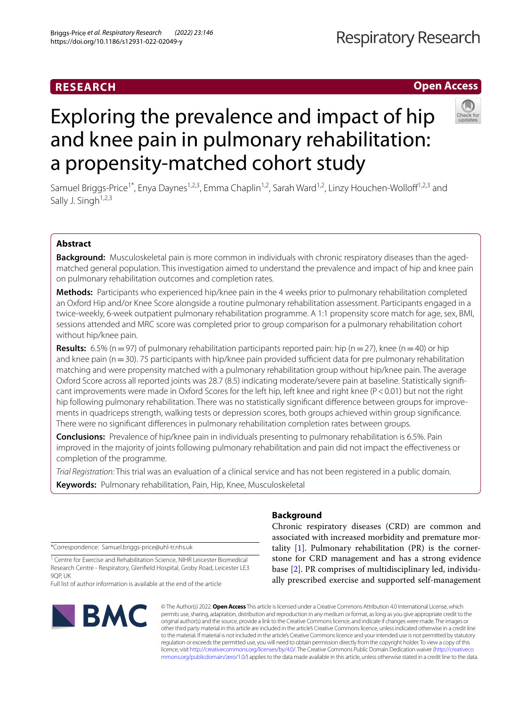# **RESEARCH**

# Exploring the prevalence and impact of hip and knee pain in pulmonary rehabilitation: a propensity-matched cohort study

Samuel Briggs-Price<sup>1\*</sup>, Enya Daynes<sup>1,2,3</sup>, Emma Chaplin<sup>1,2</sup>, Sarah Ward<sup>1,2</sup>, Linzy Houchen-Wolloff<sup>1,2,3</sup> and Sally J. Singh $1,2,3$ 

# **Abstract**

**Background:** Musculoskeletal pain is more common in individuals with chronic respiratory diseases than the agedmatched general population. This investigation aimed to understand the prevalence and impact of hip and knee pain on pulmonary rehabilitation outcomes and completion rates.

**Methods:** Participants who experienced hip/knee pain in the 4 weeks prior to pulmonary rehabilitation completed an Oxford Hip and/or Knee Score alongside a routine pulmonary rehabilitation assessment. Participants engaged in a twice-weekly, 6-week outpatient pulmonary rehabilitation programme. A 1:1 propensity score match for age, sex, BMI, sessions attended and MRC score was completed prior to group comparison for a pulmonary rehabilitation cohort without hip/knee pain.

**Results:** 6.5% (n = 97) of pulmonary rehabilitation participants reported pain: hip (n = 27), knee (n = 40) or hip and knee pain ( $n=30$ ). 75 participants with hip/knee pain provided sufficient data for pre pulmonary rehabilitation matching and were propensity matched with a pulmonary rehabilitation group without hip/knee pain. The average Oxford Score across all reported joints was 28.7 (8.5) indicating moderate/severe pain at baseline. Statistically significant improvements were made in Oxford Scores for the left hip, left knee and right knee (P<0.01) but not the right hip following pulmonary rehabilitation. There was no statistically significant difference between groups for improvements in quadriceps strength, walking tests or depression scores, both groups achieved within group signifcance. There were no signifcant diferences in pulmonary rehabilitation completion rates between groups.

**Conclusions:** Prevalence of hip/knee pain in individuals presenting to pulmonary rehabilitation is 6.5%. Pain improved in the majority of joints following pulmonary rehabilitation and pain did not impact the efectiveness or completion of the programme.

*Trial Registration:* This trial was an evaluation of a clinical service and has not been registered in a public domain.

**Keywords:** Pulmonary rehabilitation, Pain, Hip, Knee, Musculoskeletal

\*Correspondence: Samuel.briggs-price@uhl-tr.nhs.uk

<sup>1</sup> Centre for Exercise and Rehabilitation Science, NIHR Leicester Biomedical Research Centre ‑ Respiratory, Glenfeld Hospital, Groby Road, Leicester LE3 9QP, UK

Full list of author information is available at the end of the article



# **Background**

Chronic respiratory diseases (CRD) are common and associated with increased morbidity and premature mortality  $[1]$  $[1]$ . Pulmonary rehabilitation  $(PR)$  is the cornerstone for CRD management and has a strong evidence base [[2\]](#page-6-1). PR comprises of multidisciplinary led, individually prescribed exercise and supported self-management

© The Author(s) 2022. **Open Access** This article is licensed under a Creative Commons Attribution 4.0 International License, which permits use, sharing, adaptation, distribution and reproduction in any medium or format, as long as you give appropriate credit to the original author(s) and the source, provide a link to the Creative Commons licence, and indicate if changes were made. The images or other third party material in this article are included in the article's Creative Commons licence, unless indicated otherwise in a credit line to the material. If material is not included in the article's Creative Commons licence and your intended use is not permitted by statutory regulation or exceeds the permitted use, you will need to obtain permission directly from the copyright holder. To view a copy of this licence, visit [http://creativecommons.org/licenses/by/4.0/.](http://creativecommons.org/licenses/by/4.0/) The Creative Commons Public Domain Dedication waiver ([http://creativeco](http://creativecommons.org/publicdomain/zero/1.0/) [mmons.org/publicdomain/zero/1.0/](http://creativecommons.org/publicdomain/zero/1.0/)) applies to the data made available in this article, unless otherwise stated in a credit line to the data.



# **Open Access**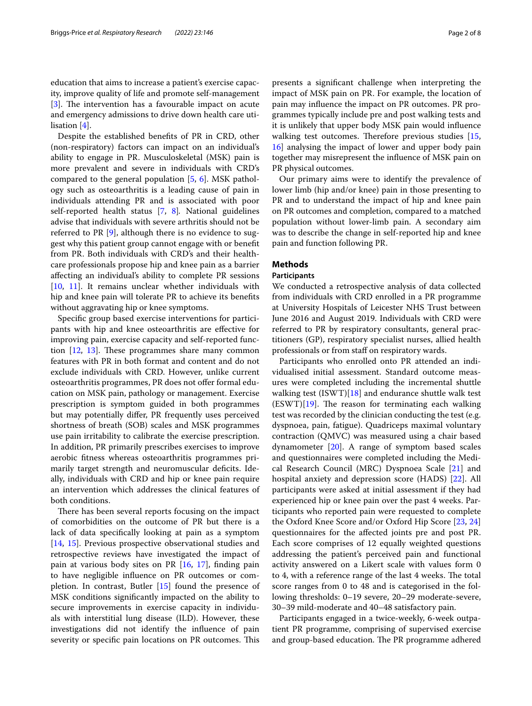education that aims to increase a patient's exercise capacity, improve quality of life and promote self-management [[3\]](#page-6-2). The intervention has a favourable impact on acute and emergency admissions to drive down health care utilisation [\[4\]](#page-6-3).

Despite the established benefts of PR in CRD, other (non-respiratory) factors can impact on an individual's ability to engage in PR. Musculoskeletal (MSK) pain is more prevalent and severe in individuals with CRD's compared to the general population [[5,](#page-7-0) [6](#page-7-1)]. MSK pathology such as osteoarthritis is a leading cause of pain in individuals attending PR and is associated with poor self-reported health status [\[7](#page-7-2), [8](#page-7-3)]*.* National guidelines advise that individuals with severe arthritis should not be referred to PR [\[9](#page-7-4)], although there is no evidence to suggest why this patient group cannot engage with or beneft from PR. Both individuals with CRD's and their healthcare professionals propose hip and knee pain as a barrier afecting an individual's ability to complete PR sessions [[10,](#page-7-5) [11](#page-7-6)]. It remains unclear whether individuals with hip and knee pain will tolerate PR to achieve its benefts without aggravating hip or knee symptoms.

Specifc group based exercise interventions for participants with hip and knee osteoarthritis are efective for improving pain, exercise capacity and self-reported function  $[12, 13]$  $[12, 13]$  $[12, 13]$  $[12, 13]$ . These programmes share many common features with PR in both format and content and do not exclude individuals with CRD. However, unlike current osteoarthritis programmes, PR does not offer formal education on MSK pain, pathology or management. Exercise prescription is symptom guided in both programmes but may potentially difer, PR frequently uses perceived shortness of breath (SOB) scales and MSK programmes use pain irritability to calibrate the exercise prescription. In addition, PR primarily prescribes exercises to improve aerobic ftness whereas osteoarthritis programmes primarily target strength and neuromuscular deficits. Ideally, individuals with CRD and hip or knee pain require an intervention which addresses the clinical features of both conditions.

There has been several reports focusing on the impact of comorbidities on the outcome of PR but there is a lack of data specifcally looking at pain as a symptom [[14,](#page-7-9) [15](#page-7-10)]. Previous prospective observational studies and retrospective reviews have investigated the impact of pain at various body sites on PR [\[16](#page-7-11), [17](#page-7-12)], fnding pain to have negligible infuence on PR outcomes or completion. In contrast, Butler [[15](#page-7-10)] found the presence of MSK conditions signifcantly impacted on the ability to secure improvements in exercise capacity in individuals with interstitial lung disease (ILD). However, these investigations did not identify the infuence of pain severity or specific pain locations on PR outcomes. This presents a signifcant challenge when interpreting the impact of MSK pain on PR. For example, the location of pain may infuence the impact on PR outcomes. PR programmes typically include pre and post walking tests and it is unlikely that upper body MSK pain would infuence walking test outcomes. Therefore previous studies  $[15,$  $[15,$  $[15,$ [16\]](#page-7-11) analysing the impact of lower and upper body pain together may misrepresent the infuence of MSK pain on PR physical outcomes.

Our primary aims were to identify the prevalence of lower limb (hip and/or knee) pain in those presenting to PR and to understand the impact of hip and knee pain on PR outcomes and completion, compared to a matched population without lower-limb pain. A secondary aim was to describe the change in self-reported hip and knee pain and function following PR.

## **Methods**

### **Participants**

We conducted a retrospective analysis of data collected from individuals with CRD enrolled in a PR programme at University Hospitals of Leicester NHS Trust between June 2016 and August 2019. Individuals with CRD were referred to PR by respiratory consultants, general practitioners (GP), respiratory specialist nurses, allied health professionals or from staff on respiratory wards.

Participants who enrolled onto PR attended an individualised initial assessment. Standard outcome measures were completed including the incremental shuttle walking test  $(ISWT)[18]$  $(ISWT)[18]$  and endurance shuttle walk test  $(ESWT)[19]$  $(ESWT)[19]$ . The reason for terminating each walking test was recorded by the clinician conducting the test (e.g. dyspnoea, pain, fatigue). Quadriceps maximal voluntary contraction (QMVC) was measured using a chair based dynamometer [\[20\]](#page-7-15). A range of symptom based scales and questionnaires were completed including the Medical Research Council (MRC) Dyspnoea Scale [[21\]](#page-7-16) and hospital anxiety and depression score (HADS) [\[22](#page-7-17)]. All participants were asked at initial assessment if they had experienced hip or knee pain over the past 4 weeks. Participants who reported pain were requested to complete the Oxford Knee Score and/or Oxford Hip Score [[23,](#page-7-18) [24](#page-7-19)] questionnaires for the afected joints pre and post PR. Each score comprises of 12 equally weighted questions addressing the patient's perceived pain and functional activity answered on a Likert scale with values form 0 to 4, with a reference range of the last 4 weeks. The total score ranges from 0 to 48 and is categorised in the following thresholds: 0–19 severe, 20–29 moderate-severe, 30–39 mild-moderate and 40–48 satisfactory pain.

Participants engaged in a twice-weekly, 6-week outpatient PR programme, comprising of supervised exercise and group-based education. The PR programme adhered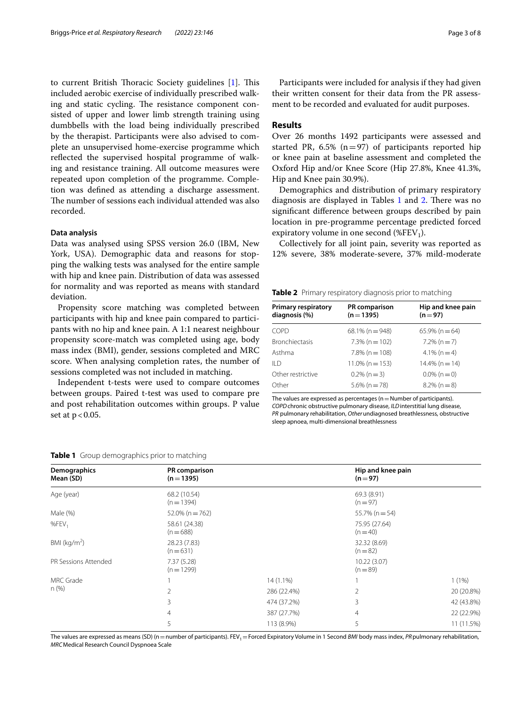to current British Thoracic Society guidelines [[1](#page-6-0)]. This included aerobic exercise of individually prescribed walking and static cycling. The resistance component consisted of upper and lower limb strength training using dumbbells with the load being individually prescribed by the therapist. Participants were also advised to complete an unsupervised home-exercise programme which reflected the supervised hospital programme of walking and resistance training. All outcome measures were repeated upon completion of the programme. Completion was defned as attending a discharge assessment. The number of sessions each individual attended was also recorded.

## **Data analysis**

Data was analysed using SPSS version 26.0 (IBM, New York, USA). Demographic data and reasons for stopping the walking tests was analysed for the entire sample with hip and knee pain. Distribution of data was assessed for normality and was reported as means with standard deviation.

Propensity score matching was completed between participants with hip and knee pain compared to participants with no hip and knee pain. A 1:1 nearest neighbour propensity score-match was completed using age, body mass index (BMI), gender, sessions completed and MRC score. When analysing completion rates, the number of sessions completed was not included in matching.

Independent t-tests were used to compare outcomes between groups. Paired t-test was used to compare pre and post rehabilitation outcomes within groups. P value set at  $p < 0.05$ .

Participants were included for analysis if they had given their written consent for their data from the PR assessment to be recorded and evaluated for audit purposes.

# **Results**

Over 26 months 1492 participants were assessed and started PR, 6.5% ( $n=97$ ) of participants reported hip or knee pain at baseline assessment and completed the Oxford Hip and/or Knee Score (Hip 27.8%, Knee 41.3%, Hip and Knee pain 30.9%).

Demographics and distribution of primary respiratory diagnosis are displayed in Tables  $1$  and  $2$ . There was no signifcant diference between groups described by pain location in pre-programme percentage predicted forced expiratory volume in one second (%FEV<sub>1</sub>).

Collectively for all joint pain, severity was reported as 12% severe, 38% moderate-severe, 37% mild-moderate

<span id="page-2-1"></span>

|  | <b>Table 2</b> Primary respiratory diagnosis prior to matching |  |  |
|--|----------------------------------------------------------------|--|--|
|  |                                                                |  |  |

| <b>Primary respiratory</b><br>diagnosis (%) | <b>PR</b> comparison<br>$(n = 1395)$ | Hip and knee pain<br>$(n=97)$ |
|---------------------------------------------|--------------------------------------|-------------------------------|
| COPD                                        | $68.1\%$ (n = 948)                   | $65.9\%$ (n = 64)             |
| <b>Bronchiectasis</b>                       | $7.3\%$ (n = 102)                    | $7.2\%$ (n = 7)               |
| Asthma                                      | $7.8\%$ (n = 108)                    | $4.1\%$ (n = 4)               |
| II <sub>D</sub>                             | $11.0\%$ (n = 153)                   | $14.4\%$ (n = 14)             |
| Other restrictive                           | $0.2\%$ (n = 3)                      | $0.0\%$ (n = 0)               |
| Other                                       | $5.6\%$ (n = 78)                     | $8.2\%$ (n = 8)               |

The values are expressed as percentages ( $n=$ Number of participants). *COPD*chronic obstructive pulmonary disease, *ILD*interstitial lung disease, *PR* pulmonary rehabilitation, *Other*undiagnosed breathlessness, obstructive sleep apnoea, multi-dimensional breathlessness

| Demographics<br>Mean (SD) | PR comparison<br>$(n=1395)$ |             | Hip and knee pain<br>$(n=97)$ |                          |  |
|---------------------------|-----------------------------|-------------|-------------------------------|--------------------------|--|
| Age (year)                | 68.2 (10.54)<br>$(n=1394)$  |             | 69.3 (8.91)<br>$(n=97)$       |                          |  |
| Male (%)                  | $52.0\%$ (n = 762)          |             | $55.7\%$ (n = 54)             |                          |  |
| %FEV <sub>1</sub>         | 58.61 (24.38)<br>$(n=688)$  |             | 75.95 (27.64)<br>$(n=40)$     |                          |  |
| BMI ( $kg/m2$ )           | 28.23 (7.83)<br>$(n=631)$   |             |                               | 32.32 (8.69)<br>$(n=82)$ |  |
| PR Sessions Attended      | 7.37(5.28)<br>$(n=1299)$    |             | 10.22 (3.07)<br>$(n = 89)$    |                          |  |
| <b>MRC</b> Grade          |                             | 14 (1.1%)   |                               | 1(1%)                    |  |
| n(%)                      | 2                           | 286 (22.4%) | $\overline{2}$                | 20 (20.8%)               |  |
|                           | 3                           | 474 (37.2%) | 3                             | 42 (43.8%)               |  |
|                           | $\overline{4}$              | 387 (27.7%) | $\overline{4}$                | 22 (22.9%)               |  |
|                           | 5                           | 113 (8.9%)  | 5                             | 11 (11.5%)               |  |

#### <span id="page-2-0"></span>**Table 1** Group demographics prior to matching

The values are expressed as means (SD) (n = number of participants). FEV<sub>1</sub> = Forced Expiratory Volume in 1 Second *BMI* body mass index, *PR* pulmonary rehabilitation, *MRC*Medical Research Council Dyspnoea Scale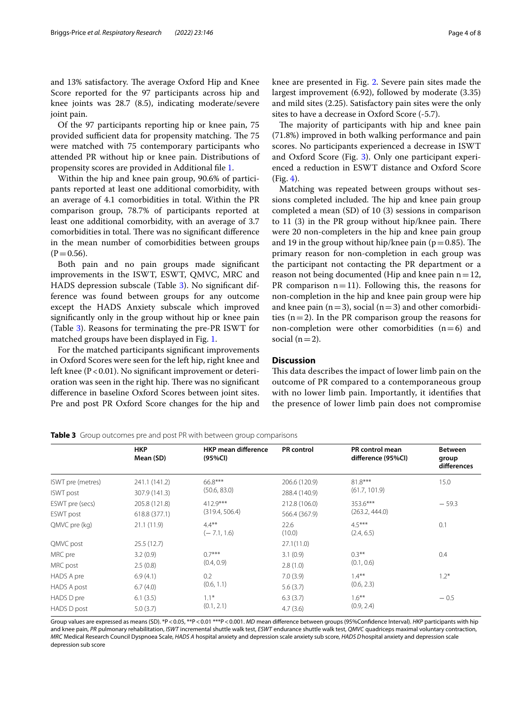and 13% satisfactory. The average Oxford Hip and Knee Score reported for the 97 participants across hip and knee joints was 28.7 (8.5), indicating moderate/severe joint pain.

Of the 97 participants reporting hip or knee pain, 75 provided sufficient data for propensity matching. The 75 were matched with 75 contemporary participants who attended PR without hip or knee pain. Distributions of propensity scores are provided in Additional fle [1.](#page-6-4)

Within the hip and knee pain group, 90.6% of participants reported at least one additional comorbidity, with an average of 4.1 comorbidities in total. Within the PR comparison group, 78.7% of participants reported at least one additional comorbidity, with an average of 3.7 comorbidities in total. There was no significant difference in the mean number of comorbidities between groups  $(P=0.56)$ .

Both pain and no pain groups made signifcant improvements in the ISWT, ESWT, QMVC, MRC and HADS depression subscale (Table [3\)](#page-3-0). No signifcant difference was found between groups for any outcome except the HADS Anxiety subscale which improved signifcantly only in the group without hip or knee pain (Table [3](#page-3-0)). Reasons for terminating the pre-PR ISWT for matched groups have been displayed in Fig. [1](#page-4-0).

For the matched participants signifcant improvements in Oxford Scores were seen for the left hip, right knee and left knee ( $P < 0.01$ ). No significant improvement or deterioration was seen in the right hip. There was no significant diference in baseline Oxford Scores between joint sites. Pre and post PR Oxford Score changes for the hip and knee are presented in Fig. [2](#page-4-1). Severe pain sites made the largest improvement (6.92), followed by moderate (3.35) and mild sites (2.25). Satisfactory pain sites were the only sites to have a decrease in Oxford Score (-5.7).

The majority of participants with hip and knee pain (71.8%) improved in both walking performance and pain scores. No participants experienced a decrease in ISWT and Oxford Score (Fig. [3\)](#page-5-0). Only one participant experienced a reduction in ESWT distance and Oxford Score (Fig. [4\)](#page-5-1).

Matching was repeated between groups without sessions completed included. The hip and knee pain group completed a mean (SD) of 10 (3) sessions in comparison to  $11$  (3) in the PR group without hip/knee pain. There were 20 non-completers in the hip and knee pain group and 19 in the group without hip/knee pain ( $p=0.85$ ). The primary reason for non-completion in each group was the participant not contacting the PR department or a reason not being documented (Hip and knee pain  $n=12$ , PR comparison  $n=11$ ). Following this, the reasons for non-completion in the hip and knee pain group were hip and knee pain ( $n=3$ ), social ( $n=3$ ) and other comorbidities  $(n=2)$ . In the PR comparison group the reasons for non-completion were other comorbidities  $(n=6)$  and social  $(n=2)$ .

# **Discussion**

This data describes the impact of lower limb pain on the outcome of PR compared to a contemporaneous group with no lower limb pain. Importantly, it identifes that the presence of lower limb pain does not compromise

<span id="page-3-0"></span>**Table 3** Group outcomes pre and post PR with between group comparisons

|                   | <b>HKP</b><br>Mean (SD) | <b>HKP mean difference</b><br>(95%CI) | <b>PR</b> control | <b>PR</b> control mean<br>difference (95%Cl) | <b>Between</b><br>group<br>differences |
|-------------------|-------------------------|---------------------------------------|-------------------|----------------------------------------------|----------------------------------------|
| ISWT pre (metres) | 241.1 (141.2)           | 66.8***<br>(50.6, 83.0)               | 206.6 (120.9)     | $81.8***$<br>(61.7, 101.9)                   | 15.0                                   |
| <b>ISWT</b> post  | 307.9 (141.3)           |                                       | 288.4 (140.9)     |                                              |                                        |
| ESWT pre (secs)   | 205.8 (121.8)           | $412.9***$<br>(319.4, 506.4)          | 212.8 (106.0)     | $353.6***$<br>(263.2, 444.0)                 | $-59.3$                                |
| ESWT post         | 618.8 (377.1)           |                                       | 566.4 (367.9)     |                                              |                                        |
| QMVC pre (kg)     | 21.1(11.9)              | $4.4***$<br>$(-7.1, 1.6)$             | 22.6<br>(10.0)    | $4.5***$<br>(2.4, 6.5)                       | 0.1                                    |
| QMVC post         | 25.5(12.7)              |                                       | 27.1(11.0)        |                                              |                                        |
| MRC pre           | 3.2(0.9)                | $07***$<br>(0.4, 0.9)                 | 3.1(0.9)          | $0.3***$<br>(0.1, 0.6)                       | 0.4                                    |
| MRC post          | 2.5(0.8)                |                                       | 2.8(1.0)          |                                              |                                        |
| HADS A pre        | 6.9(4.1)                | 0.2<br>(0.6, 1.1)                     | 7.0(3.9)          | $1.4***$<br>(0.6, 2.3)                       | $1.2*$                                 |
| HADS A post       | 6.7(4.0)                |                                       | 5.6(3.7)          |                                              |                                        |
| HADS D pre        | 6.1(3.5)                | $1.1*$<br>(0.1, 2.1)                  | 6.3(3.7)          | $1.6***$<br>(0.9, 2.4)                       | $-0.5$                                 |
| HADS D post       | 5.0(3.7)                |                                       | 4.7(3.6)          |                                              |                                        |

Group values are expressed as means (SD). \*P<0.05, \*\*P<0.01 \*\*\*P<0.001. *MD* mean difference between groups (95%Confidence Interval). *HKP* participants with hip and knee pain, *PR* pulmonary rehabilitation, *ISWT* incremental shuttle walk test, *ESWT* endurance shuttle walk test, *QMVC* quadriceps maximal voluntary contraction, *MRC* Medical Research Council Dyspnoea Scale, *HADS A* hospital anxiety and depression scale anxiety sub score, *HADS D*hospital anxiety and depression scale depression sub score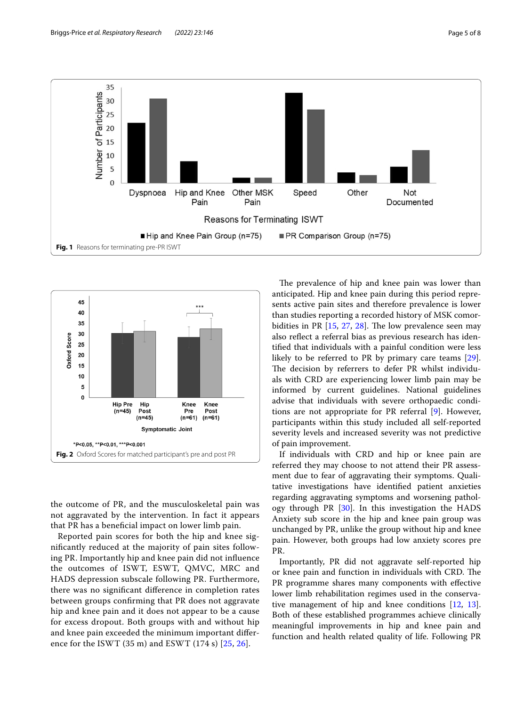

<span id="page-4-0"></span>

<span id="page-4-1"></span>the outcome of PR, and the musculoskeletal pain was not aggravated by the intervention. In fact it appears that PR has a benefcial impact on lower limb pain.

Reported pain scores for both the hip and knee signifcantly reduced at the majority of pain sites following PR. Importantly hip and knee pain did not infuence the outcomes of ISWT, ESWT, QMVC, MRC and HADS depression subscale following PR. Furthermore, there was no signifcant diference in completion rates between groups confrming that PR does not aggravate hip and knee pain and it does not appear to be a cause for excess dropout. Both groups with and without hip and knee pain exceeded the minimum important diference for the ISWT (35 m) and ESWT (174 s) [[25](#page-7-20), [26](#page-7-21)].

The prevalence of hip and knee pain was lower than anticipated. Hip and knee pain during this period represents active pain sites and therefore prevalence is lower than studies reporting a recorded history of MSK comorbidities in PR  $[15, 27, 28]$  $[15, 27, 28]$  $[15, 27, 28]$  $[15, 27, 28]$  $[15, 27, 28]$ . The low prevalence seen may also reflect a referral bias as previous research has identifed that individuals with a painful condition were less likely to be referred to PR by primary care teams [\[29](#page-7-24)]. The decision by referrers to defer PR whilst individuals with CRD are experiencing lower limb pain may be informed by current guidelines. National guidelines advise that individuals with severe orthopaedic conditions are not appropriate for PR referral [\[9](#page-7-4)]. However, participants within this study included all self-reported severity levels and increased severity was not predictive of pain improvement.

If individuals with CRD and hip or knee pain are referred they may choose to not attend their PR assessment due to fear of aggravating their symptoms. Qualitative investigations have identifed patient anxieties regarding aggravating symptoms and worsening pathology through PR [\[30\]](#page-7-25). In this investigation the HADS Anxiety sub score in the hip and knee pain group was unchanged by PR, unlike the group without hip and knee pain. However, both groups had low anxiety scores pre PR.

Importantly, PR did not aggravate self-reported hip or knee pain and function in individuals with CRD. The PR programme shares many components with effective lower limb rehabilitation regimes used in the conservative management of hip and knee conditions [[12,](#page-7-7) [13](#page-7-8)]. Both of these established programmes achieve clinically meaningful improvements in hip and knee pain and function and health related quality of life. Following PR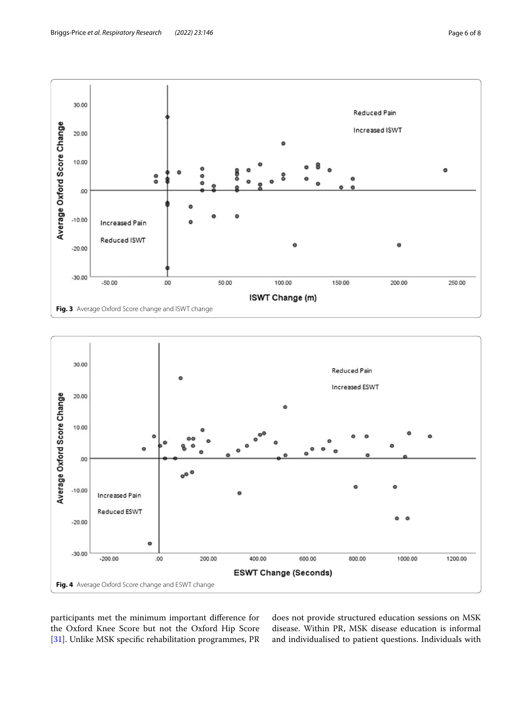

<span id="page-5-0"></span>

<span id="page-5-1"></span>participants met the minimum important diference for the Oxford Knee Score but not the Oxford Hip Score [[31\]](#page-7-26). Unlike MSK specifc rehabilitation programmes, PR

does not provide structured education sessions on MSK disease. Within PR, MSK disease education is informal and individualised to patient questions. Individuals with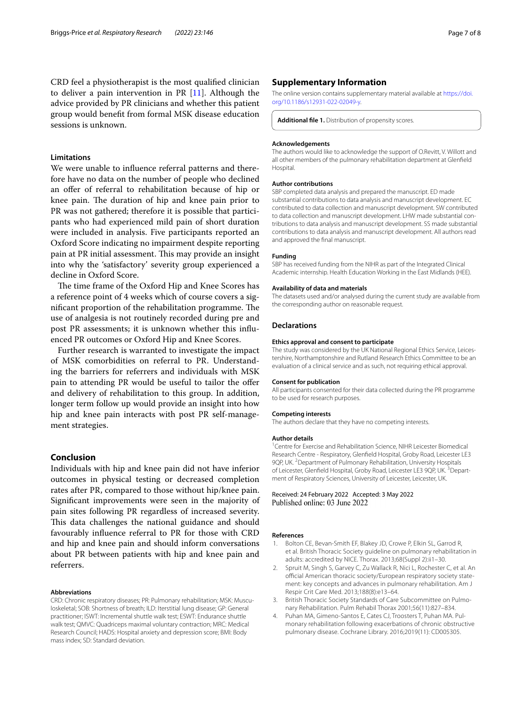CRD feel a physiotherapist is the most qualifed clinician to deliver a pain intervention in PR [[11\]](#page-7-6). Although the advice provided by PR clinicians and whether this patient group would beneft from formal MSK disease education sessions is unknown.

# **Limitations**

We were unable to infuence referral patterns and therefore have no data on the number of people who declined an offer of referral to rehabilitation because of hip or knee pain. The duration of hip and knee pain prior to PR was not gathered; therefore it is possible that participants who had experienced mild pain of short duration were included in analysis. Five participants reported an Oxford Score indicating no impairment despite reporting pain at PR initial assessment. This may provide an insight into why the 'satisfactory' severity group experienced a decline in Oxford Score.

The time frame of the Oxford Hip and Knee Scores has a reference point of 4 weeks which of course covers a significant proportion of the rehabilitation programme. The use of analgesia is not routinely recorded during pre and post PR assessments; it is unknown whether this infuenced PR outcomes or Oxford Hip and Knee Scores.

Further research is warranted to investigate the impact of MSK comorbidities on referral to PR. Understanding the barriers for referrers and individuals with MSK pain to attending PR would be useful to tailor the offer and delivery of rehabilitation to this group. In addition, longer term follow up would provide an insight into how hip and knee pain interacts with post PR self-management strategies.

# **Conclusion**

Individuals with hip and knee pain did not have inferior outcomes in physical testing or decreased completion rates after PR, compared to those without hip/knee pain. Signifcant improvements were seen in the majority of pain sites following PR regardless of increased severity. This data challenges the national guidance and should favourably infuence referral to PR for those with CRD and hip and knee pain and should inform conversations about PR between patients with hip and knee pain and referrers.

#### **Abbreviations**

CRD: Chronic respiratory diseases; PR: Pulmonary rehabilitation; MSK: Musculoskeletal; SOB: Shortness of breath; ILD: Iterstitial lung disease; GP: General practitioner; ISWT: Incremental shuttle walk test; ESWT: Endurance shuttle walk test; QMVC: Quadriceps maximal voluntary contraction; MRC: Medical Research Council; HADS: Hospital anxiety and depression score; BMI: Body mass index; SD: Standard deviation.

#### **Supplementary Information**

The online version contains supplementary material available at [https://doi.](https://doi.org/10.1186/s12931-022-02049-y) [org/10.1186/s12931-022-02049-y.](https://doi.org/10.1186/s12931-022-02049-y)

<span id="page-6-4"></span>**Additional fle 1.** Distribution of propensity scores.

#### **Acknowledgements**

The authors would like to acknowledge the support of O.Revitt, V. Willott and all other members of the pulmonary rehabilitation department at Glenfeld Hospital.

#### **Author contributions**

SBP completed data analysis and prepared the manuscript. ED made substantial contributions to data analysis and manuscript development. EC contributed to data collection and manuscript development. SW contributed to data collection and manuscript development. LHW made substantial contributions to data analysis and manuscript development. SS made substantial contributions to data analysis and manuscript development. All authors read and approved the fnal manuscript.

#### **Funding**

SBP has received funding from the NIHR as part of the Integrated Clinical Academic internship. Health Education Working in the East Midlands (HEE).

#### **Availability of data and materials**

The datasets used and/or analysed during the current study are available from the corresponding author on reasonable request.

# **Declarations**

#### **Ethics approval and consent to participate**

The study was considered by the UK National Regional Ethics Service, Leicestershire, Northamptonshire and Rutland Research Ethics Committee to be an evaluation of a clinical service and as such, not requiring ethical approval.

#### **Consent for publication**

All participants consented for their data collected during the PR programme to be used for research purposes.

#### **Competing interests**

The authors declare that they have no competing interests.

#### **Author details**

<sup>1</sup> Centre for Exercise and Rehabilitation Science, NIHR Leicester Biomedical Research Centre ‑ Respiratory, Glenfeld Hospital, Groby Road, Leicester LE3 9QP, UK. <sup>2</sup> Department of Pulmonary Rehabilitation, University Hospitals of Leicester, Glenfield Hospital, Groby Road, Leicester LE3 9QP, UK. <sup>3</sup>Department of Respiratory Sciences, University of Leicester, Leicester, UK.

Received: 24 February 2022 Accepted: 3 May 2022 Published online: 03 June 2022

#### **References**

- <span id="page-6-0"></span>1. Bolton CE, Bevan-Smith EF, Blakey JD, Crowe P, Elkin SL, Garrod R, et al. British Thoracic Society guideline on pulmonary rehabilitation in adults: accredited by NICE. Thorax. 2013;68(Suppl 2):ii1–30.
- <span id="page-6-1"></span>2. Spruit M, Singh S, Garvey C, Zu Wallack R, Nici L, Rochester C, et al. An official American thoracic society/European respiratory society statement: key concepts and advances in pulmonary rehabilitation. Am J Respir Crit Care Med. 2013;188(8):e13–64.
- <span id="page-6-2"></span>3. British Thoracic Society Standards of Care Subcommittee on Pulmonary Rehabilitation. Pulm Rehabil Thorax 2001;56(11):827–834.
- <span id="page-6-3"></span>Puhan MA, Gimeno-Santos E, Cates CJ, Troosters T, Puhan MA, Pulmonary rehabilitation following exacerbations of chronic obstructive pulmonary disease. Cochrane Library. 2016;2019(11): CD005305.